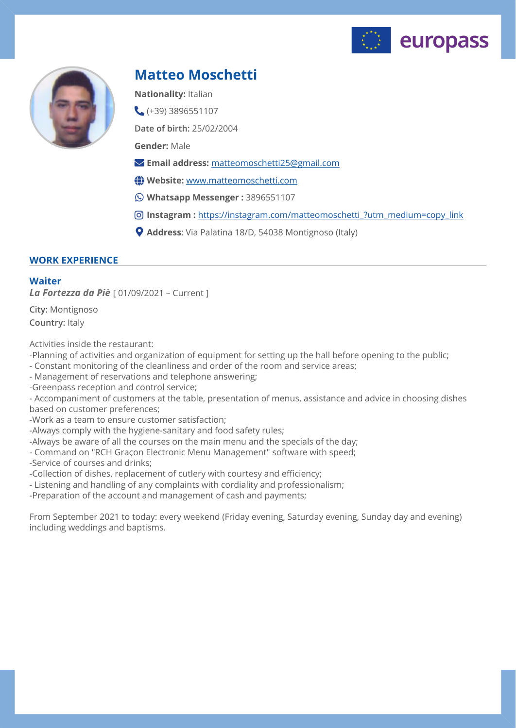



# **Matteo Moschetti**

**Nationality:** Italian

 $( +39)$  3896551107

**Date of birth:** 25/02/2004

**Gender:** Male

- **Email address:** [matteomoschetti25@gmail.com](mailto:matteomoschetti25@gmail.com)
- **Website:** [www.matteomoschetti.com](http://www.matteomoschetti.com)
- **Whatsapp Messenger :** 3896551107
- **Instagram :** [https://instagram.com/matteomoschetti\\_?utm\\_medium=copy\\_link](https://instagram.com/matteomoschetti_?utm_medium=copy_link)
- **Address**: Via Palatina 18/D, 54038 Montignoso (Italy)

# **WORK EXPERIENCE**

## **Waiter**

*La Fortezza da Piè* [ 01/09/2021 – Current ]

**City:** Montignoso **Country:** Italy

Activities inside the restaurant:

-Planning of activities and organization of equipment for setting up the hall before opening to the public;

- Constant monitoring of the cleanliness and order of the room and service areas;
- Management of reservations and telephone answering;

-Greenpass reception and control service;

- Accompaniment of customers at the table, presentation of menus, assistance and advice in choosing dishes based on customer preferences;

-Work as a team to ensure customer satisfaction;

-Always comply with the hygiene-sanitary and food safety rules;

-Always be aware of all the courses on the main menu and the specials of the day;

- Command on "RCH Graçon Electronic Menu Management" software with speed;

-Service of courses and drinks;

-Collection of dishes, replacement of cutlery with courtesy and efficiency;

- Listening and handling of any complaints with cordiality and professionalism;

-Preparation of the account and management of cash and payments;

From September 2021 to today: every weekend (Friday evening, Saturday evening, Sunday day and evening) including weddings and baptisms.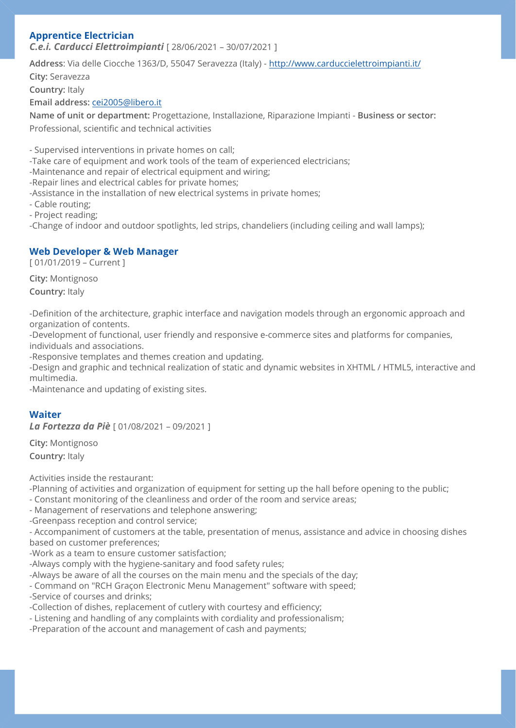# **Apprentice Electrician**

*C.e.i. Carducci Elettroimpianti* [ 28/06/2021 – 30/07/2021 ]

**Address**: Via delle Ciocche 1363/D, 55047 Seravezza (Italy) - <http://www.carduccielettroimpianti.it/> **City:** Seravezza

**Country:** Italy

**Email address:** [cei2005@libero.it](mailto:cei2005@libero.it)

**Name of unit or department:** Progettazione, Installazione, Riparazione Impianti - **Business or sector:** Professional, scientific and technical activities

- Supervised interventions in private homes on call;

-Take care of equipment and work tools of the team of experienced electricians;

-Maintenance and repair of electrical equipment and wiring;

-Repair lines and electrical cables for private homes;

-Assistance in the installation of new electrical systems in private homes;

- Cable routing;

- Project reading;

-Change of indoor and outdoor spotlights, led strips, chandeliers (including ceiling and wall lamps);

# **Web Developer & Web Manager**

[ 01/01/2019 – Current ]

**City:** Montignoso **Country:** Italy

-Definition of the architecture, graphic interface and navigation models through an ergonomic approach and organization of contents.

-Development of functional, user friendly and responsive e-commerce sites and platforms for companies, individuals and associations.

-Responsive templates and themes creation and updating.

-Design and graphic and technical realization of static and dynamic websites in XHTML / HTML5, interactive and multimedia.

-Maintenance and updating of existing sites.

# **Waiter**

*La Fortezza da Piè* [ 01/08/2021 – 09/2021 ]

**City:** Montignoso **Country:** Italy

Activities inside the restaurant:

-Planning of activities and organization of equipment for setting up the hall before opening to the public;

- Constant monitoring of the cleanliness and order of the room and service areas;

- Management of reservations and telephone answering;

-Greenpass reception and control service;

- Accompaniment of customers at the table, presentation of menus, assistance and advice in choosing dishes based on customer preferences;

-Work as a team to ensure customer satisfaction;

-Always comply with the hygiene-sanitary and food safety rules;

-Always be aware of all the courses on the main menu and the specials of the day;

- Command on "RCH Graçon Electronic Menu Management" software with speed;

-Service of courses and drinks;

-Collection of dishes, replacement of cutlery with courtesy and efficiency;

- Listening and handling of any complaints with cordiality and professionalism;

-Preparation of the account and management of cash and payments;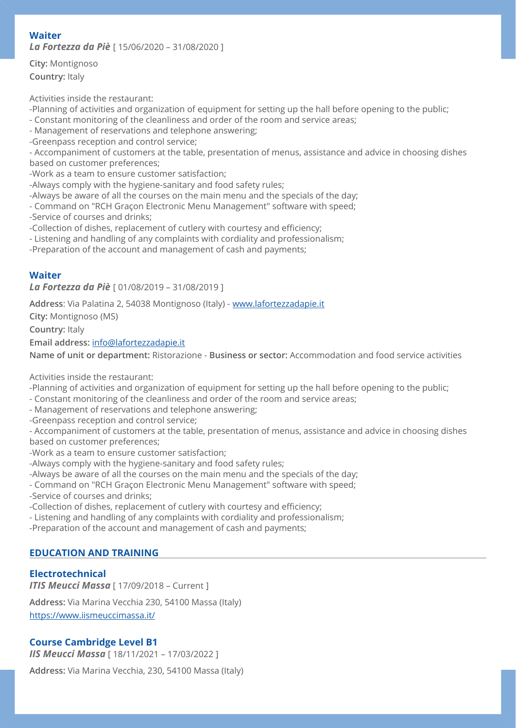# **Waiter**

*La Fortezza da Piè* [ 15/06/2020 – 31/08/2020 ]

**City:** Montignoso **Country:** Italy

Activities inside the restaurant:

-Planning of activities and organization of equipment for setting up the hall before opening to the public;

- Constant monitoring of the cleanliness and order of the room and service areas;

- Management of reservations and telephone answering;

-Greenpass reception and control service;

- Accompaniment of customers at the table, presentation of menus, assistance and advice in choosing dishes based on customer preferences;

-Work as a team to ensure customer satisfaction;

-Always comply with the hygiene-sanitary and food safety rules;

-Always be aware of all the courses on the main menu and the specials of the day;

- Command on "RCH Graçon Electronic Menu Management" software with speed;

-Service of courses and drinks;

-Collection of dishes, replacement of cutlery with courtesy and efficiency;

- Listening and handling of any complaints with cordiality and professionalism;

-Preparation of the account and management of cash and payments;

## **Waiter**

*La Fortezza da Piè* [ 01/08/2019 – 31/08/2019 ]

**Address**: Via Palatina 2, 54038 Montignoso (Italy) - [www.lafortezzadapie.it](http://www.lafortezzadapie.it)

**City:** Montignoso (MS)

**Country:** Italy

**Email address:** [info@lafortezzadapie.it](mailto:info@lafortezzadapie.it)

**Name of unit or department:** Ristorazione - **Business or sector:** Accommodation and food service activities

Activities inside the restaurant:

-Planning of activities and organization of equipment for setting up the hall before opening to the public;

- Constant monitoring of the cleanliness and order of the room and service areas;
- Management of reservations and telephone answering;
- -Greenpass reception and control service;

- Accompaniment of customers at the table, presentation of menus, assistance and advice in choosing dishes based on customer preferences;

-Work as a team to ensure customer satisfaction;

-Always comply with the hygiene-sanitary and food safety rules;

-Always be aware of all the courses on the main menu and the specials of the day;

- Command on "RCH Graçon Electronic Menu Management" software with speed;
- -Service of courses and drinks;

-Collection of dishes, replacement of cutlery with courtesy and efficiency;

- Listening and handling of any complaints with cordiality and professionalism;

-Preparation of the account and management of cash and payments;

# **EDUCATION AND TRAINING**

# **Electrotechnical**

*ITIS Meucci Massa* [ 17/09/2018 - Current ] **Address:** Via Marina Vecchia 230, 54100 Massa (Italy) <https://www.iismeuccimassa.it/>

# **Course Cambridge Level B1**

*IIS Meucci Massa* [ 18/11/2021 – 17/03/2022 ]

**Address:** Via Marina Vecchia, 230, 54100 Massa (Italy)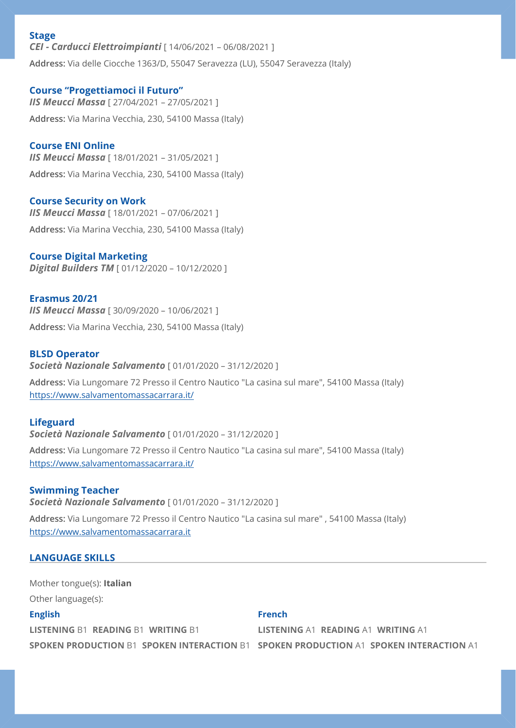## **Stage**

*CEI - Carducci Elettroimpianti* [ 14/06/2021 – 06/08/2021 ] **Address:** Via delle Ciocche 1363/D, 55047 Seravezza (LU), 55047 Seravezza (Italy)

# **Course "Progettiamoci il Futuro"**

*IIS Meucci Massa* [ 27/04/2021 – 27/05/2021 ] **Address:** Via Marina Vecchia, 230, 54100 Massa (Italy)

# **Course ENI Online**

*IIS Meucci Massa* [ 18/01/2021 – 31/05/2021 ] **Address:** Via Marina Vecchia, 230, 54100 Massa (Italy)

## **Course Security on Work**

*IIS Meucci Massa* [ 18/01/2021 – 07/06/2021 ] **Address:** Via Marina Vecchia, 230, 54100 Massa (Italy)

## **Course Digital Marketing**

*Digital Builders TM* [ 01/12/2020 – 10/12/2020 ]

#### **Erasmus 20/21**

*IIS Meucci Massa* [ 30/09/2020 – 10/06/2021 ] **Address:** Via Marina Vecchia, 230, 54100 Massa (Italy)

#### **BLSD Operator**

*Società Nazionale Salvamento* [ 01/01/2020 – 31/12/2020 ]

**Address:** Via Lungomare 72 Presso il Centro Nautico "La casina sul mare", 54100 Massa (Italy) <https://www.salvamentomassacarrara.it/>

## **Lifeguard**

*Società Nazionale Salvamento* [ 01/01/2020 – 31/12/2020 ]

**Address:** Via Lungomare 72 Presso il Centro Nautico "La casina sul mare", 54100 Massa (Italy) <https://www.salvamentomassacarrara.it/>

## **Swimming Teacher**

*Società Nazionale Salvamento* [ 01/01/2020 – 31/12/2020 ]

**Address:** Via Lungomare 72 Presso il Centro Nautico "La casina sul mare" , 54100 Massa (Italy) <https://www.salvamentomassacarrara.it>

## **LANGUAGE SKILLS**

**English LISTENING** B1 **READING** B1 **WRITING** B1 **SPOKEN PRODUCTION** B1 **SPOKEN INTERACTION** B1 **SPOKEN PRODUCTION** A1 **SPOKEN INTERACTION** A1 **French LISTENING** A1 **READING** A1 **WRITING** A1 Mother tongue(s): **Italian** Other language(s):